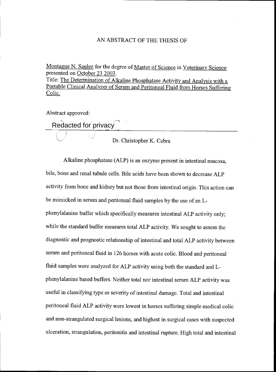## AN ABSTRACT OF THE THESIS OF

Montague N. Saulez for the degree of Master of Science in Veterinary Science presented on October 23 2003.

Title: The Determination of Alkaline Phosphatase Activity and Analysis with a Portable Clinical Analyzer of Serum and Peritoneal Fluid from Horses Suffering Colic.

Abstract approved:

Redacted for privacy

Dr. Christopher K. Cebra

Alkaline phosphatase (ALP) is an enzyme present in intestinal mucosa, bile, bone and renal tubule cells. Bile acids have been shown to decrease ALP activity from bone and kidney but not those from intestinal origin. This action can be mimicked in serum and peritoneal fluid samples by the use of an Lphenylalanine buffer which specifically measures intestinal ALP activity only; while the standard buffer measures total ALP activity. We sought to assess the diagnostic and prognostic relationship of intestinal and total ALP activity between serum and peritoneal fluid in 126 horses with acute colic. Blood and peritoneal fluid samples were analyzed for ALP activity using both the standard and Lphenylalanine based buffers. Neither total nor intestinal serum ALP activity was useful in classifying type or severity of intestinal damage. Total and intestinal peritoneal fluid ALP activity were lowest in horses suffering simple medical colic and non-strangulated surgical lesions, and highest in surgical cases with suspected ulceration, strangulation, peritonitis and intestinal rupture. High total and intestinal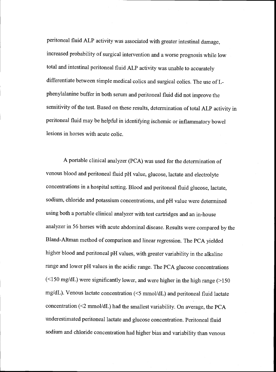peritoneal fluid ALP activity was associated with greater intestinal damage, increased probability of surgical intervention and a worse prognosis while low total and intestinal peritoneal fluid ALP activity was unable to accurately differentiate between simple medical colics and surgical colics. The use of Lphenylalanine buffer in both serum and peritoneal fluid did not improve the sensitivity of the test. Based on these results, determination of total ALP activity in peritoneal fluid may be helpful in identifying ischemic or inflammatory bowel lesions in horses with acute colic.

A portable clinical analyzer (PCA) was used for the determination of venous blood and peritoneal fluid pH value, glucose, lactate and electrolyte concentrations in a hospital setting. Blood and peritoneal fluid glucose, lactate, sodium, chloride and potassium concentrations, and pH value were determined using both a portable clinical analyzer with test cartridges and an in-house analyzer in 56 horses with acute abdominal disease. Results were compared by the Bland-Altman method of comparison and linear regression. The PCA yielded higher blood and peritoneal pH values, with greater variability in the alkaline range and lower pH values in the acidic range. The PCA glucose concentrations  $(\leq 150 \text{ mg/dL})$  were significantly lower, and were higher in the high range ( $> 150$ mg/dL). Venous lactate concentration ( $\leq$ 5 mmol/dL) and peritoneal fluid lactate concentration  $(\leq 2 \text{ mmol/dL})$  had the smallest variability. On average, the PCA underestimated peritoneal lactate and glucose concentration. Peritoneal fluid sodium and chloride concentration had higher bias and variability than venous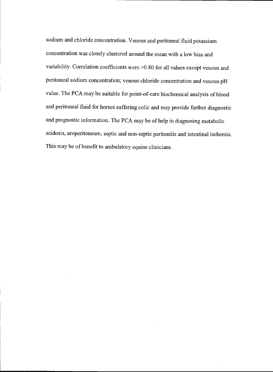sodium and chloride concentration. Venous and peritoneal fluid potassium concentration was closely clustered around the mean with a low bias and variability. Correlation coefficients were >0.80 for all values except venous and peritoneal sodium concentration; venous chloride concentration and venous pH value. The PCA may be suitable for point-of-care biochemical analysis of blood and peritoneal fluid for horses suffering colic and may provide further diagnostic and prognostic information. The PCA may be of help in diagnosing metabolic acidosis, uroperitoneum, septic and non-septic peritonitis and intestinal ischemia. This may be of benefit to ambulatory equine clinicians.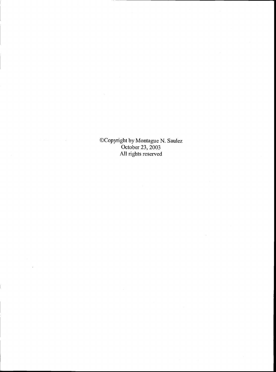©Copyright by Montague N. Saulez October 23, 2003 All rights reserved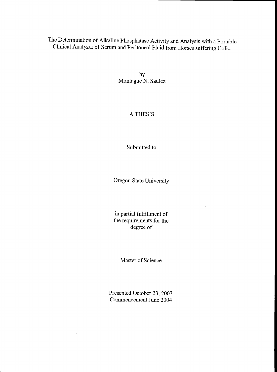The Determination of Alkaline Phosphatase Activity and Analysis with a Portable Clinical Analyzer of Serum and Peritoneal Fluid from Horses suffering Colic.

> by Montague N. Saulez

## A THESIS

Submitted to

Oregon State University

in partial fulfillment of the requirements for the degree of

Master of Science

Presented October 23, 2003 Commencement June 2004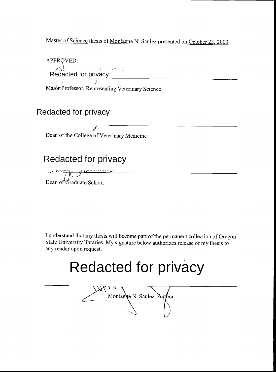Master of Science thesis of Montague N. Saulez presented on October 23, 2003.

APPROVED: Redacted for privacy  $\bigcap_{i=1}^n$ 

Major Professor, Representing Veterinary Science

Redacted for privacy

Dean of the College of Veterinary Medicine

# Redacted for privacy

Dean of'Graduate School

I understand that my thesis will become part of the permanent collection of Oregon State University libraries. My signature below authorizes release of my thesis to any reader upon request.

# Redacted for privacy

Montague N. Saulez, Author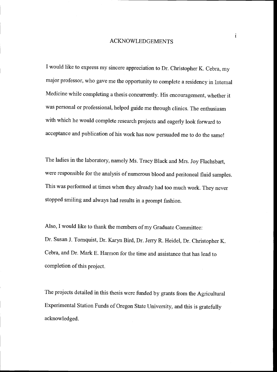#### ACKNOWLEDGEMENTS

I would like to express my sincere appreciation to Dr. Christopher K. Cebra, my major professor, who gave me the opportunity to complete a residency in Internal Medicine while completing a thesis concurrently. His encouragement, whether it was personal or professional, helped guide me through clinics. The enthusiasm with which he would complete research projects and eagerly look forward to acceptance and publication of his work has now persuaded me to do the same!

The ladies in the laboratory, namely Ms. Tracy Black and Mrs. Joy Flachsbart, were responsible for the analysis of numerous blood and peritoneal fluid samples. This was performed at times when they already had too much work. They never stopped smiling and always had results in a prompt fashion.

Also, I would like to thank the members of my Graduate Committee: Dr. Susan J. Tornquist, Dr. Karyn Bird, Dr. Jerry R. Heidel, Dr. Christopher K. Cebra, and Dr. Mark E. Harmon for the time and assistance that has lead to completion of this project.

The projects detailed in this thesis were funded by grants from the Agricultural Experimental Station Funds of Oregon State University, and this is gratefully acknowledged.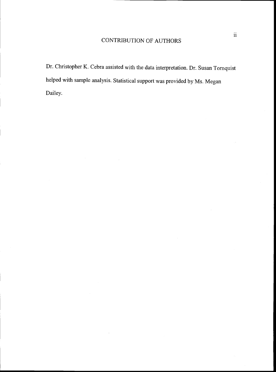# CONTRIBUTION OF AUTHORS

Dr. Christopher K. Cebra assisted with the data interpretation. Dr. Susan Tornquist helped with sample analysis. Statistical support was provided by Ms. Megan Dailey.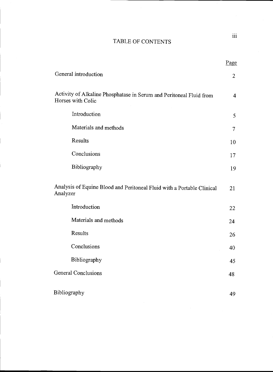## TABLE OF CONTENTS

|                                                                                          | <b>Page</b>    |  |
|------------------------------------------------------------------------------------------|----------------|--|
| General introduction                                                                     | $\overline{2}$ |  |
| Activity of Alkaline Phosphatase in Serum and Peritoneal Fluid from<br>Horses with Colic | $\overline{4}$ |  |
| Introduction                                                                             | 5              |  |
| Materials and methods                                                                    | $\overline{7}$ |  |
| Results                                                                                  | 10             |  |
| Conclusions                                                                              | 17             |  |
| Bibliography                                                                             | 19             |  |
| Analysis of Equine Blood and Peritoneal Fluid with a Portable Clinical<br>Analyzer       | 21             |  |
| Introduction                                                                             | 22             |  |
| Materials and methods                                                                    | 24             |  |
| Results                                                                                  | 26             |  |
| Conclusions                                                                              | 40             |  |
| Bibliography                                                                             | 45             |  |
| <b>General Conclusions</b>                                                               | 48             |  |
| Bibliography                                                                             | 49             |  |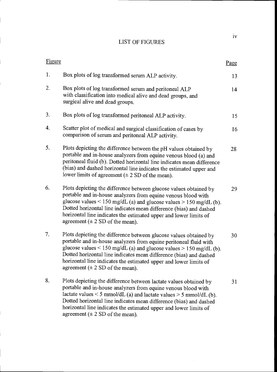## LIST OF FIGURES

| Figure |                                                                                                                                                                                                                                                                                                                                                                                                            | Page |
|--------|------------------------------------------------------------------------------------------------------------------------------------------------------------------------------------------------------------------------------------------------------------------------------------------------------------------------------------------------------------------------------------------------------------|------|
| 1.     | Box plots of log transformed serum ALP activity.                                                                                                                                                                                                                                                                                                                                                           | 13   |
| 2.     | Box plots of log transformed serum and peritoneal ALP<br>with classification into medical alive and dead groups, and<br>surgical alive and dead groups.                                                                                                                                                                                                                                                    | 14   |
| 3.     | Box plots of log transformed peritoneal ALP activity.                                                                                                                                                                                                                                                                                                                                                      | 15   |
| 4.     | Scatter plot of medical and surgical classification of cases by<br>comparison of serum and peritoneal ALP activity.                                                                                                                                                                                                                                                                                        | 16   |
| 5.     | Plots depicting the difference between the pH values obtained by<br>portable and in-house analyzers from equine venous blood (a) and<br>peritoneal fluid (b). Dotted horizontal line indicates mean difference<br>(bias) and dashed horizontal line indicates the estimated upper and<br>lower limits of agreement $(\pm 2$ SD of the mean).                                                               | 28   |
| 6.     | Plots depicting the difference between glucose values obtained by<br>portable and in-house analyzers from equine venous blood with<br>glucose values < 150 mg/dL (a) and glucose values > 150 mg/dL (b).<br>Dotted horizontal line indicates mean difference (bias) and dashed<br>horizontal line indicates the estimated upper and lower limits of<br>agreement $(\pm 2 SD)$ of the mean).                | 29   |
| 7.     | Plots depicting the difference between glucose values obtained by<br>portable and in-house analyzers from equine peritoneal fluid with<br>glucose values < 150 mg/dL (a) and glucose values > 150 mg/dL (b).<br>Dotted horizontal line indicates mean difference (bias) and dashed<br>horizontal line indicates the estimated upper and lower limits of<br>agreement $(\pm 2$ SD of the mean).             | 30   |
| 8.     | Plots depicting the difference between lactate values obtained by<br>portable and in-house analyzers from equine venous blood with<br>lactate values $\leq$ 5 mmol/dL (a) and lactate values $>$ 5 mmol/dL (b).<br>Dotted horizontal line indicates mean difference (bias) and dashed<br>horizontal line indicates the estimated upper and lower limits of<br>agreement $(\pm 2 \text{ SD of the mean})$ . | 31   |

lv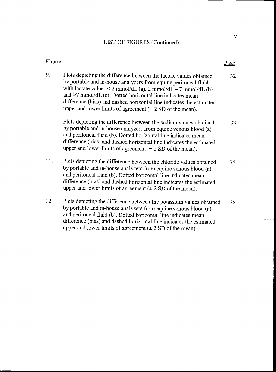## LIST OF FIGURES (Continued)

## Figure Page

- 9. Plots depicting the difference between the lactate values obtained 32 by portable and in-house analyzers from equine peritoneal fluid with lactate values  $\leq$  2 mmol/dL (a), 2 mmol/dL  $-$  7 mmol/dL (b) and  $>7$  mmol/dL (c). Dotted horizontal line indicates mean difference (bias) and dashed horizontal line indicates the estimated upper and lower limits of agreement  $(± 2 SD of the mean)$ .
- 10. Plots depicting the difference between the sodium values obtained 33 by portable and in-house analyzers from equine venous blood (a) and peritoneal fluid (b). Dotted horizontal line indicates mean difference (bias) and dashed horizontal line indicates the estimated upper and lower limits of agreement  $(\pm 2 \text{ SD of the mean})$ .
- 11. Plots depicting the difference between the chloride values obtained 34 by portable and in-house analyzers from equine venous blood (a) and peritoneal fluid (b). Dotted horizontal line indicates mean difference (bias) and dashed horizontal line indicates the estimated upper and lower limits of agreement  $(± 2 SD of the mean)$ .
- 12. Plots depicting the difference between the potassium values obtained 35 by portable and in-house analyzers from equine venous blood (a) and peritoneal fluid (b). Dotted horizontal line indicates mean difference (bias) and dashed horizontal line indicates the estimated upper and lower limits of agreement  $(\pm 2 \text{ SD of the mean})$ .

V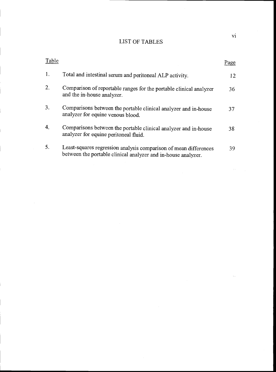## LIST OF TABLES

| Table            |                                                                                                                                   | Page |  |
|------------------|-----------------------------------------------------------------------------------------------------------------------------------|------|--|
| 1.               | Total and intestinal serum and peritoneal ALP activity.                                                                           | 12   |  |
| 2.               | Comparison of reportable ranges for the portable clinical analyzer<br>and the in-house analyzer.                                  | 36   |  |
| 3.               | Comparisons between the portable clinical analyzer and in-house<br>analyzer for equine venous blood.                              | 37   |  |
| $\overline{4}$ . | Comparisons between the portable clinical analyzer and in-house<br>analyzer for equine peritoneal fluid.                          | 38   |  |
| 5.               | Least-squares regression analysis comparison of mean differences<br>between the portable clinical analyzer and in-house analyzer. | 39   |  |

vi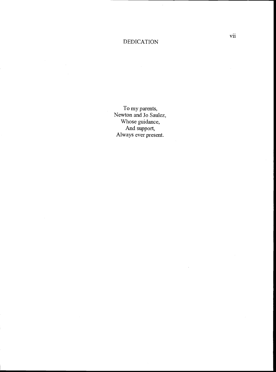## DEDICATION

 $\ddot{\phantom{0}}$ 

To my parents, Newton and Jo Saulez, Whose guidance, And support, Always ever present.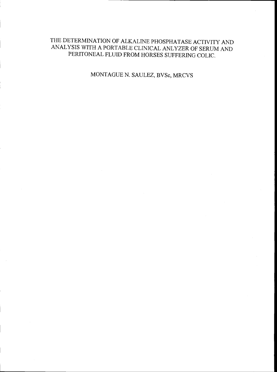## THE DETERMINATION OF ALKALINE PHOSPHATASE ACTIVITY AND ANALYSIS WITH A PORTABLE CLINICAL ANLYZER OF SERUM AND PERITONEAL FLUID FROM HORSES SUFFERING COLIC.

MONTAGUE N. SAULEZ, BVSc, MRCVS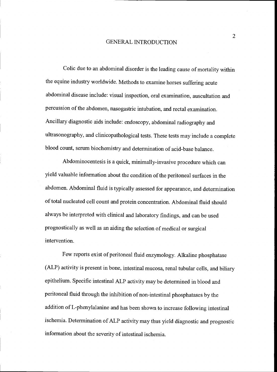## GENERAL INTRODUCTION

Colic due to an abdominal disorder is the leading cause of mortality within the equine industry worldwide. Methods to examine horses suffering acute abdominal disease include: visual inspection, oral examination, auscultation and percussion of the abdomen, nasogastric intubation, and rectal examination. Ancillary diagnostic aids include: endoscopy, abdominal radiography and ultrasonography, and clinicopathological tests. These tests may include a complete blood count, serum biochemistry and determination of acid-base balance.

Abdominocentesis is a quick, minimally-invasive procedure which can yield valuable information about the condition of the peritoneal surfaces in the abdomen. Abdominal fluid is typically assessed for appearance, and determination of total nucleated cell count and protein concentration. Abdominal fluid should always be interpreted with clinical and laboratory findings, and can be used prognostically as well as an aiding the selection of medical or surgical intervention.

Few reports exist of peritoneal fluid enzymology. Alkaline phosphatase (ALP) activity is present in bone, intestinal mucosa, renal tubular cells, and biliary epithelium. Specific intestinal ALP activity may be determined in blood and peritoneal fluid through the inhibition of non-intestinal phosphatases by the addition of L-phenylalanine and has been shown to increase following intestinal ischemia. Determination of ALP activity may thus yield diagnostic and prognostic information about the severity of intestinal ischemia.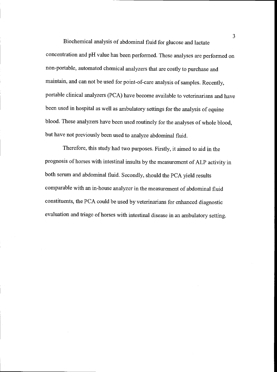Biochemical analysis of abdominal fluid for glucose and lactate concentration and pH value has been performed. These analyses are performed on non-portable, automated chemical analyzers that are costly to purchase and maintain, and can not be used for point-of-care analysis of samples. Recently, portable clinical analyzers (PCA) have become available to veterinarians and have been used in hospital as well as ambulatory settings for the analysis of equine blood. These analyzers have been used routinely for the analyses of whole blood, but have not previously been used to analyze abdominal fluid.

Therefore, this study had two purposes. Firstly, it aimed to aid in the prognosis of horses with intestinal insults by the measurement of ALP activity in both serum and abdominal fluid. Secondly, should the PCA yield results comparable with an in-house analyzer in the measurement of abdominal fluid constituents, the PCA could be used by veterinarians for enhanced diagnostic evaluation and triage of horses with intestinal disease in an ambulatory setting.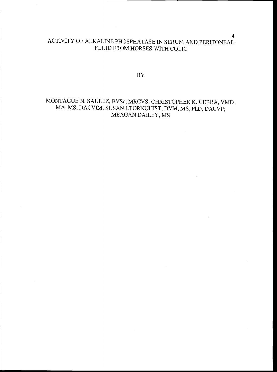## ACTiVITY OF ALKALINE PHOSPHATASE IN SERUM AND PERITONEAL FLUID FROM HORSES WITH COLIC

 ${\rm BY}$ 

## MONTAGUE N. SAULEZ, BVSc, MRCVS; CHRISTOPHER K. CEBRA, VMD, MA, MS, DACVIM; SUSAN J.TORNQUIST, DVM, MS, PhD, DACVP; MEAGAN DAILEY, MS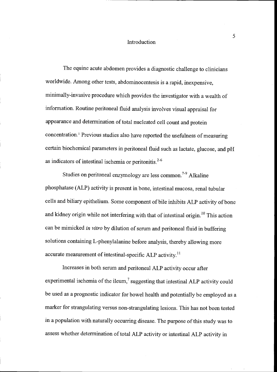#### Introduction

The equine acute abdomen provides a diagnostic challenge to clinicians worldwide. Among other tests, abdominocentesis is a rapid, inexpensive, minimally-invasive procedure which provides the investigator with a wealth of information. Routine peritoneal fluid analysis involves visual appraisal for appearance and determination of total nucleated cell count and protein concentration.1 Previous studies also have reported the usefulness of measuring certain biochemical parameters in pentoneal fluid such as lactate, glucose, and pH as indicators of intestinal ischemia or peritonitis.<sup>2-6</sup>

Studies on peritoneal enzymology are less common.<sup>7-9</sup> Alkaline phosphatase (ALP) activity is present in bone, intestinal mucosa, renal tubular cells and biliary epithelium. Some component of bile inhibits ALP activity of bone and kidney origin while not interfering with that of intestinal origin.<sup>10</sup> This action can be mimicked in vitro by dilution of serum and peritoneal fluid in buffering solutions containing L-phenylalanine before analysis, thereby allowing more accurate measurement of intestinal-specific ALP activity.<sup>11</sup>

Increases in both serum and peritoneal ALP activity occur after experimental ischemia of the ileum, $7$  suggesting that intestinal ALP activity could be used as a prognostic indicator for bowel health and potentially be employed as a marker for strangulating versus non-strangulating lesions. This has not been tested in a population with naturally occurring disease. The purpose of this study was to assess whether determination of total ALP activity or intestinal ALP activity in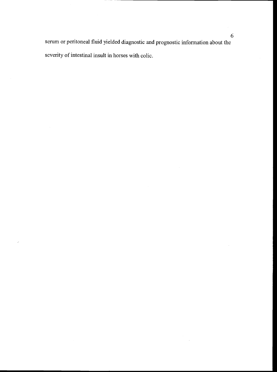serum or peritoneal fluid yielded diagnostic and prognostic information about the severity of intestinal insult in horses with colic.

 $\overline{\phantom{a}}$ 

 $\hat{\mathcal{A}}$ 

 $\hat{\mathcal{A}}$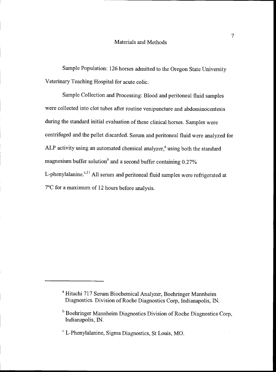Sample Population: 126 horses admitted to the Oregon State University Veterinary Teaching Hospital for acute colic.

Sample Collection and Processing: Blood and peritoneal fluid samples were collected into clot tubes after routine venipuncture and abdominocentesis during the standard initial evaluation of these clinical horses. Samples were centrifuged and the pellet discarded. Serum and peritoneal fluidwere analyzed for ALP activity using an automated chemical analyzer, $a$  using both the standard magnesium buffer solution<sup>b</sup> and a second buffer containing  $0.27\%$ L-phenylalanine. $c$ ,<sup>11</sup> All serum and peritoneal fluid samples were refrigerated at 7°C for a maximum of 12 hours before analysis.

<sup>a</sup> Hitachi 717 Serum Biochemical Analyzer, Boehringer Mannheim Diagnostics. Division of Roche Diagnostics Corp. Indianapolis, IN.

<sup>&</sup>lt;sup>b</sup> Boehringer Mannheim Diagnostics Division of Roche Diagnostics Corp, Indianapolis, IN.

L-Phenylalanine, Sigma Diagnostics, St Louis, MO.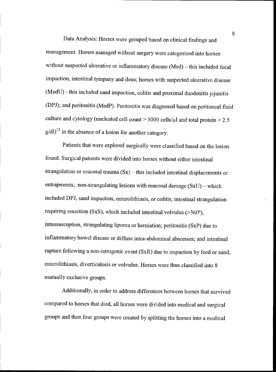Data Analysis: Horses were grouped based on clinical findings and management. Horses managed without surgery were categorized into horses without suspected ulcerative or inflammatory disease  $(Med)$  – this included fecal impaction, intestinal tympany and ileus; horses with suspected ulcerative disease (MedU) - this included sand impaction, colitis and proximal duodenitis jejunitis (DPJ); and peritonitis (MedP). Peritonitis was diagnosed based on peritoneal fluid culture and cytology (nucleated cell count  $> 5000$  cells/ $\mu$ l and total protein  $> 2.5$  $g/dl$ <sup>12</sup> in the absence of a lesion for another category.

Patients that were explored surgically were classified based on the lesion found. Surgical patients were divided into horses without either intestinal strangulation or mucosal trauma  $(Sx)$  – this included intestinal displacements or entrapments; non-strangulating lesions with mucosal damage  $(SxU)$  – which included DPJ, sand impaction, enterolithiasis, or colitis; intestinal strangulation requiring resection (SxS), which included intestinal volvulus (>360°), intussusception, strangulating lipoma or hemiation; peritonitis (SxP) due to inflammatory bowel disease or diffuse intra-abdominal abscesses; and intestinal rupture following a non-iatrogenic event (SxR) due to impaction by feed or sand, enterolithiasis, diverticulosis or volvulus. Horses were thus classified into 8 mutually exclusive groups.

Additionally, in order to address differences between horses that survived compared to horses that died, all horses were divided into medical and surgical groups and then four groups were created by splitting the horses into a medical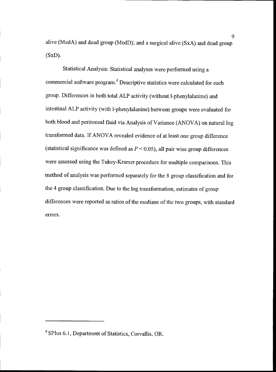alive (MedA) and dead group (MedD); and a surgical alive (SxA) and dead group  $(SxD)$ .

Statistical Analysis: Statistical analyses were performed using a commercial software program.<sup>d</sup> Descriptive statistics were calculated for each group. Differences in both total ALP activity (without 1-phenylalanine) and intestinal ALP activity (with 1-phenylalanine) between groups were evaluated for both blood and peritoneal fluid via Analysis of Variance (ANOVA) on natural log transformed data. If ANOVA revealed evidence of at least one group difference (statistical significance was defined as  $P < 0.05$ ), all pair wise group differences were assessed using the Tukey-Kramer procedure for multiple comparisons. This method of analysis was performed separately for the 8 group classification and for the 4 group classification. Due to the log transformation, estimates of group differences were reported as ratios of the medians of the two groups, with standard errors.

<sup>d</sup> SPlus 6.1, Department of Statistics, Corvallis, OR.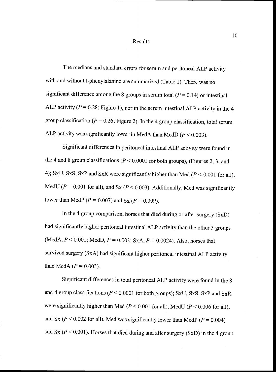#### Results

The medians and standard errors for serum and peritoneal ALP activity with and without 1-phenylalanine are summarized (Table 1). There was no significant difference among the 8 groups in serum total  $(P = 0.14)$  or intestinal ALP activity ( $P = 0.28$ ; Figure 1), nor in the serum intestinal ALP activity in the 4 group classification ( $P = 0.26$ ; Figure 2). In the 4 group classification, total serum ALP activity was significantly lower in MedA than MedD ( $P < 0.003$ ).

Significant differences in peritoneal intestinal ALP activity were found in the 4 and 8 group classifications ( $P < 0.0001$  for both groups), (Figures 2, 3, and 4); SxU, SxS, SxP and SxR were significantly higher than Med ( $P < 0.001$  for all), MedU ( $P = 0.001$  for all), and Sx ( $P < 0.003$ ). Additionally, Med was significantly lower than MedP ( $P = 0.007$ ) and Sx ( $P = 0.009$ ).

In the 4 group comparison, horses that died during or after surgery (SxD) had significantly higher peritoneal intestinal ALP activity than the other 3 groups (MedA,  $P < 0.001$ ; MedD,  $P = 0.003$ ; SxA,  $P = 0.0024$ ). Also, horses that survived surgery (SxA) had significant higher peritoneal intestinal ALP activity than MedA  $(P = 0.003)$ .

Significant differences in total peritoneal ALP activity were found in the 8 and 4 group classifications ( $P \le 0.0001$  for both groups); SxU, SxS, SxP and SxR were significantly higher than Med ( $P \le 0.001$  for all), MedU ( $P \le 0.006$  for all), and Sx ( $P < 0.002$  for all). Med was significantly lower than MedP ( $P = 0.004$ ) and Sx ( $P < 0.001$ ). Horses that died during and after surgery (SxD) in the 4 group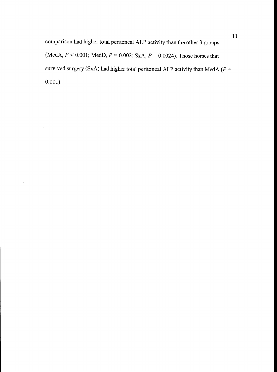comparison had higher total peritoneal ALP activity than the other 3 groups (MedA,  $P < 0.001$ ; MedD,  $P = 0.002$ ; SxA,  $P = 0.0024$ ). Those horses that survived surgery (SxA) had higher total peritoneal ALP activity than MedA ( $P =$ 0.001).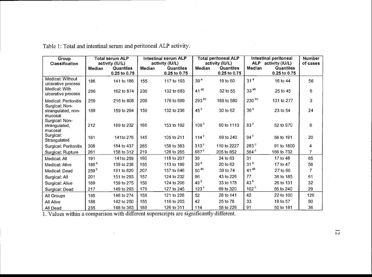| Group<br><b>Classification</b>                  | <b>Total serum ALP</b><br>activity (IU/L) |                                  | Intestinal serum ALP<br>activity (IU/L) |                           | <b>Total peritoneal ALP</b><br>activity (IU/L) |                           | Intestinal peritoneal<br>ALP activity (IU/L) |                           | <b>Number</b><br>of cases |
|-------------------------------------------------|-------------------------------------------|----------------------------------|-----------------------------------------|---------------------------|------------------------------------------------|---------------------------|----------------------------------------------|---------------------------|---------------------------|
|                                                 | Median                                    | <b>Quantiles</b><br>0.25 to 0.75 | Median                                  | Quantiles<br>0.25 to 0.75 | Median                                         | Quantiles<br>0.25 to 0.75 | Median                                       | Quantiles<br>0.25 to 0.75 |                           |
| Medical: Without<br>ulcerative process          | 186                                       | 141 to 186                       | 155                                     | 117 to 193                | 39 <sup>a</sup>                                | 19 to 60                  | 31 <sup>a</sup>                              | 16 to 44                  | 56                        |
| Medical: With<br>ulcerative process             | 286                                       | 162 to 874                       | 236                                     | 132 to 683                | $41^{ab}$                                      | 32 to 55                  | 33 <sup>ab</sup>                             | 25 to 45                  | 6                         |
| Medical: Peritonitis<br>Surgical: Non-          | 259                                       | 216 to 808                       | 208                                     | 176 to 699                | $293^{bc}$                                     | 188 to 580                | $230^{bc}$                                   | 131 to 277                | 3                         |
| strangulated, non-<br>mucosal<br>Surgical: Non- | 189                                       | 159 to 294                       | 159                                     | 132 to 236                | 45 <sup>b</sup>                                | 30 to 62                  | 36 <sup>b</sup>                              | 23 to 54                  | 24                        |
| strangulated,<br>mucosal                        | 212                                       | 189 to 232                       | 166                                     | 153 to 192                | 109 <sup>c</sup>                               | 60 to 1113                | 83 <sup>c</sup>                              | 52 to 970                 | 6                         |
| Surgical:<br>Strangulated                       | 181                                       | 141to 276                        | 145                                     | 105 to 211                | 114 $\degree$                                  | 69 to 240                 | $94^{\circ}$                                 | 56 to 191                 | 20                        |
| Surgical: Peritonitis                           | 308                                       | 184 to 437                       | 265                                     | 158 to 383                | 313 <sup>c</sup>                               | 110 to 2227               | 283 <sup>c</sup>                             | 91 to 1800                | 4                         |
| Surgical: Rupture                               | 261                                       | 158 to 312                       | 219                                     | 128 to 265                | 687 <sup>c</sup>                               | 205 to 852                | 564 <sup>c</sup>                             | 166 to 732                | $\overline{7}$            |
| Medical: All                                    | 191                                       | 141to 259                        | 160                                     | 118 to 207                | 39                                             | 24 to 63                  | 31                                           | 17 to 48                  | 65                        |
| Medical: Alive                                  | 186 <sup>a</sup>                          | 139 to 238                       | 155                                     | 113 to 199                | 39 <sup>a</sup>                                | 20 to 62                  | 31 <sup>a</sup>                              | 17 to 47                  | 58                        |
| Medical: Dead                                   | 259 <sup>b</sup>                          | 191 to 820                       | 207                                     | 157 to 646                | $50^{ab}$                                      | 39 to 74                  | $41^{ab}$                                    | 27 to 60                  | 7                         |
| Surgical: All                                   | 201                                       | 151 to 293                       | 157                                     | 124 to 232                | 96                                             | 43 to 226                 | 77                                           | 36 to 185                 | 61                        |
| Surgical: Alive                                 | 189                                       | 159 to 275                       | 156                                     | 124 to 206                | 49 <sup>b</sup>                                | 33 to 178                 | 43 <sup>b</sup>                              | 26 to 131                 | 32                        |
| Surgical: Dead                                  | 217                                       | 149 to 293                       | 179                                     | 127 to 245                | 123 <sup>c</sup>                               | 69 to 320                 | 102 <sup>c</sup>                             | 56 to 240                 | 29                        |
| All Groups                                      | 195                                       | 146 to 274                       | 158                                     | 121 to 228                | 52                                             | 28 to 141                 | 42                                           | 22 to 100                 | 126                       |
| All Alive                                       | 186                                       | 142 to 250                       | 155                                     | 116 to 203                | 42                                             | 25 to 78                  | 33                                           | 18 to 57                  | 90                        |
| All Dead                                        | 235                                       | 148 to 363                       | 188                                     | 126 to 311                | 114                                            | 58 to 226                 | 91                                           | 50 to 181                 | 36                        |

Table 1: Total and intestinal serum and peritoneal ALP activity.

1. Values within a comparison with different superscripts are significantly different.

 $\overline{5}$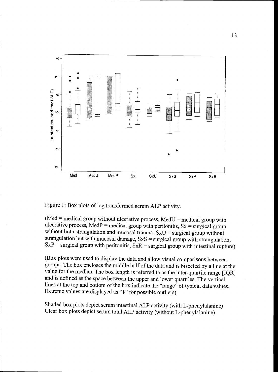

Figure 1: Box plots of log transformed serum ALP activity.

 $(Med = medical group without ulcerative process, MedU = medical group with$ ulcerative process, MedP = medical group with peritonitis,  $Sx$  = surgical group without both strangulation and mucosal trauma,  $SxU =$  surgical group without strangulation but with mucosal damage,  $SxS =$  surgical group with strangulation,  $SxP$  = surgical group with peritonitis,  $SxR$  = surgical group with intestinal rupture)

(Box plots were used to display the data and allow visual comparisons between groups. The box encloses the middle half of the data and is bisected by a line at the value for the median. The box length is referred to as the inter-quartile range [IQR] and is defined as the space between the upper and lower quartiles. The vertical lines at the top and bottom of the box indicate the "range" of typical data values. Extreme values are displayed as " $\bullet$ " for possible outliers)

Shaded box plots depict serum intestinal ALP activity (with L-phenylalanine) Clear box plots depict serum total ALP activity (without L-phenylalanine)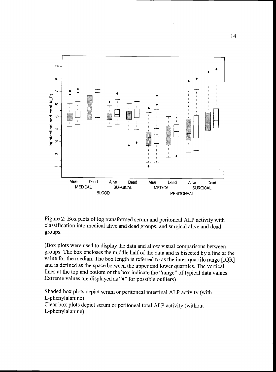

Figure 2: Box plots of log transformed serum and peritoneal ALP activity with classification into medical alive and dead groups, and surgical alive and dead groups.

(Box plots were used to display the data and allow visual comparisons between groups. The box encloses the middle half of the data and is bisected by a line at the value for the median. The box length is referred to as the inter-quartile range {IQR] and is defined as the space between the upper and lower quartiles. The vertical lines at the top and bottom of the box indicate the "range" of typical data values. Extreme values are displayed as "+" for possible outliers)

Shaded box plots depict serum or peritoneal intestinal ALP activity (with L-phenylalanine) Clear box plots depict serum or peritoneal total ALP activity (without

L-phenylalanine)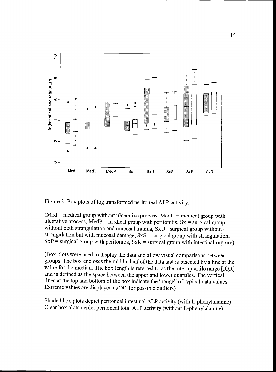

Figure 3: Box plots of log transformed peritoneal ALP activity.

 $(Med = medical group without ulcerative process, MedU = medical group with$ ulcerative process, MedP = medical group with peritonitis,  $Sx$  = surgical group without both strangulation and mucosal trauma, SxU =surgical group without strangulation but with mucosal damage,  $SxS =$  surgical group with strangulation,  $SxP$  = surgical group with peritonitis,  $SxR$  = surgical group with intestinal rupture)

(Box plots were used to display the data and allow visual comparisons between groups. The box encloses the middle half of the data and is bisected by a line at the value for the median. The box length is referred to as the inter-quartile range [IQR] and is defined as the space between the upper and lower quartiles. The vertical lines at the top and bottom of the box indicate the "range" of typical data values. Extreme values are displayed as "+" for possible outliers)

Shaded box plots depict peritoneal intestinal ALP activity (with L-phenylalanine) Clear box plots depict peritoneal total ALP activity (without L-phenylalanine)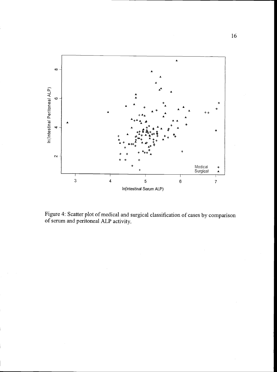

Figure 4: Scatter plot of medical and surgical classification of cases by comparison of serum and peritoneal ALP activity.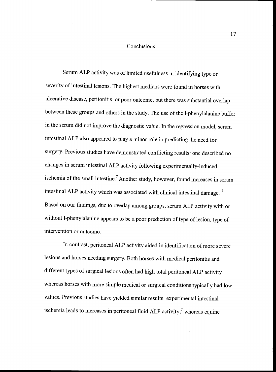#### Conclusions

Serum ALP activity was of limited usefulness in identifying type or severity of intestinal lesions. The highest medians were found in horses with ulcerative disease, peritonitis, or poor outcome, but there was substantial overlap between these groups and others in the study. The use of the 1-phenylalanine buffer in the serum did not improve the diagnostic value. In the regression model, serum intestinal ALP also appeared to play a minor role in predicting the need for surgery. Previous studies have demonstrated conflicting results: one described no changes in serum intestinal ALP activity following experimentally-induced ischemia of the small intestine.<sup>7</sup> Another study, however, found increases in serum intestinal ALP activity which was associated with clinical intestinal damage.<sup>11</sup> Based on our findings, due to overlap among groups, serum ALP activity with or without 1-phenylalanine appears to be a poor prediction of type of lesion, type of intervention or outcome.

In contrast, peritoneal ALP activity aided in identification of more severe lesions and horses needing surgery. Both horses with medical peritonitis and different types of surgical lesions often had high total peritoneal ALP activity whereas horses with more simple medical or surgical conditions typically had low values. Previous studies have yielded similar results: experimental intestinal ischemia leads to increases in peritoneal fluid ALP activity;<sup>7</sup> whereas equine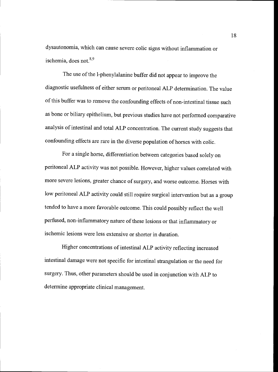dysautonomia, which can cause severe colic signs without inflammation or ischemia, does not. $8,9$ 

The use of the 1-phenylalanine buffer did not appear to improve the diagnostic usefulness of either serum or peritoneal ALP determination. The value of this buffer was to remove the confounding effects of non-intestinal tissue such as bone or biliary epithelium, but previous studies have not performed comparative analysis of intestinal and total ALP concentration. The current study suggests that confounding effects are rare in the diverse population of horses with colic.

For a single horse, differentiation between categories based solely on peritoneal ALP activity was not possible. However, higher values correlated with more severe lesions, greater chance of surgery, and worse outcome. Horses with low peritoneal ALP activity could still require surgical intervention but as a group tended to have a more favorable outcome. This could possibly reflect thewell perfused, non-inflammatory nature of these lesions or that inflammatory or ischemic lesions were less extensive or shorter in duration.

Higher concentrations of intestinal ALP activity reflecting increased intestinal damage were not specific for intestinal strangulation or the need for surgery. Thus, other parameters should be used in conjunction with ALP to determine appropriate clinical management.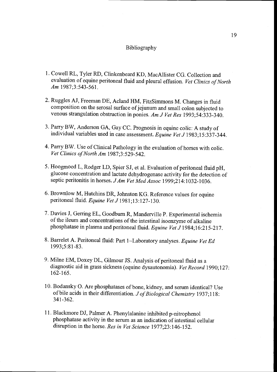#### Bibliography

- 1. Cowell RL, Tyler RD, Clinkenbeard KD, MacAllister CG. Collection and evaluation of equine peritoneal fluid and pleural effusion. Vet Clinics of North Am 1987;3:543-561.
- 2. Ruggles AJ, Freeman DE, Acland HM, FitzSimmons M. Changes in fluid composition on the serosal surface of jejunum and small colon subjected to venous strangulation obstruction in ponies. Am J Vet Res 1993;54:333-340.
- 3. Parry BW, Anderson GA, Gay CC. Prognosis in equine colic: A study of individual variables used in case assessment. Equine Vet J 1983;15:337-344.
- 4. Parry BW. Use of Clinical Pathology in the evaluation of horses with colic. Vet Clinics of North Am 1987;3:529-542.
- 5. Hoogmoed L, Rodger LD, Spier SJ, et al. Evaluation of peritoneal fluid pH, glucose concentration and lactate dehydrogenase activity for the detection of septic peritonitis in horses. J Am Vet Med Assoc 1999;214:1032-1036.
- 6. Brownlow M, Hutchins DR, Johnston KG. Reference values for equine peritoneal fluid. Equine Vet J 1981;13:127-130.
- 7. Davies J, Gerring EL, Goodburn R, Manderville P. Experimental ischemia of the ileum and concentrations of the intestinal isoenzyme of alkaline phosphatase in plasma and peritoneal fluid. Equine Vet J 1984;16:215-217
- 8. Barrelet A. Peritoneal fluid: Part 1-Laboratory analyses. Equine Vet Ed 1993;5:81-83.
- 9. Mime EM, Doxey DL, Gilmour JS. Analysis of peritoneal fluid as a diagnostic aid in grass sickness (equine dysautonomia). Vet Record 1990;127: 162-165.
- 10. Bodansky 0. Are phosphatases of bone, kidney, and serum identical? Use of bile acids in their differentiation. J of Biological Chemistry 1937;118: 341-362.
- 11. Blackmore DJ, Palmer A. Phenylalanine inhibited p-nitrophenol phosphatase activity in the serum as an indication of intestinal cellular disruption in the horse. Res in Vet Science 1977;23:146-152.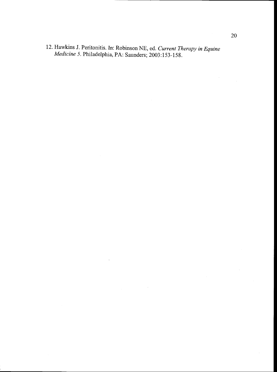12. Hawkins J. Peritonitis. In: Robinson NE, ed. Current Therapy in Equine Medicine 5. Philadelphia, PA: Saunders; 2003:153-158.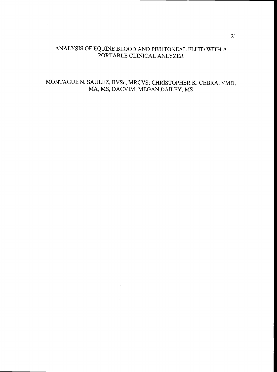## ANALYSIS OF EQUINE BLOOD AND PERITONEAL FLIJD WITH A PORTABLE CLINICAL ANLYZER

## MONTAGUE N. SAULEZ, BVSc, MRCVS; CHRISTOPHER K. CEBRA, VMD, MA, MS, DACVIM; MEGAN DAILEY, MS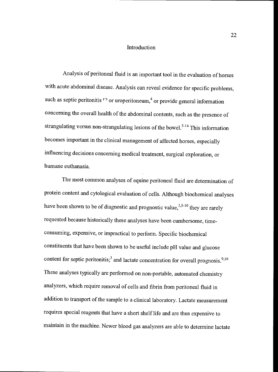#### Introduction

Analysis of peritoneal fluid is an important tool in the evaluation of horses with acute abdominal disease. Analysis can reveal evidence for specific problems, such as septic peritonitis  $1<sup>3</sup>$  or uroperitoneum,<sup>4</sup> or provide general information concerning the overall health of the abdominal contents, such as the presence of strangulating versus non-strangulating lesions of the bowel.<sup>5-14</sup> This information becomes important in the clinical management of affected horses, especially influencing decisions concerning medical treatment, surgical exploration, or humane euthanasia.

The most common analyses of equine peritoneal fluid are determination of protein content and cytological evaluation of cells. Although biochemical analyses have been shown to be of diagnostic and prognostic value,  $3,5-10$  they are rarely requested because historically these analyses have been cumbersome, timeconsuming, expensive, or impractical to perform. Specific biochemical constituents that have been shown to be useful include pH value and glucose content for septic peritonitis;<sup>3</sup> and lactate concentration for overall prognosis.<sup>9,10</sup> These analyses typically are performed on non-portable, automated chemistry analyzers, which require removal of cells and fibrin from peritoneal fluid in addition to transport of the sample to a clinical laboratory. Lactate measurement requires special reagents that have a short shelf life and are thus expensive to maintain in the machine. Newer blood gas analyzers are able to determine lactate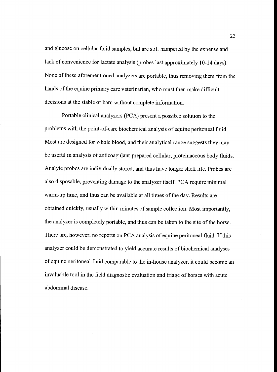and glucose on cellular fluid samples, but are still hampered by the expense and lack of convenience for lactate analysis (probes last approximately 10-14 days). None of these aforementioned analyzers are portable, thus removing them from the hands of the equine primary care veterinarian, who must then make difficult decisions at the stable or barn without complete information.

Portable clinical analyzers (PCA) present a possible solution to the problems with the point-of-care biochemical analysis of equine peritoneal fluid. Most are designed for whole blood, and their analytical range suggests theymay be useful in analysis of anticoagulant-prepared cellular, proteinaceous body fluids. Analyte probes are individually stored, and thus have longer shelf life. Probes are also disposable, preventing damage to the analyzer itself. PCA require minimal warm-up time, and thus can be available at all times of the day. Results are obtained quickly, usually within minutes of sample collection. Most importantly, the analyzer is completely portable, and thus can be taken to the site of the horse. There are, however, no reports on PCA analysis of equine peritoneal fluid. If this analyzer could be demonstrated to yield accurate results of biochemical analyses of equine peritoneal fluid comparable to the in-house analyzer, it could become an invaluable tool in the field diagnostic evaluation and triage of horses with acute abdominal disease.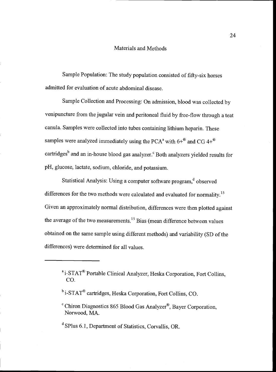## Materials and Methods

Sample Population: The study population consisted of fifty-six horses admitted for evaluation of acute abdominal disease.

Sample Collection and Processing: On admission, blood was collected by venipuncture from the jugular vein and peritoneal fluid by free-flow through a teat canula. Samples were collected into tubes containing lithium heparin. These samples were analyzed immediately using the PCA<sup>a</sup> with  $6+^{\circledR}$  and CG 4+<sup>\oper</sup> cartridges<sup>b</sup> and an in-house blood gas analyzer.<sup>c</sup> Both analyzers yielded results for pH, glucose, lactate, sodium, chloride, and potassium.

Statistical Analysis: Using a computer software program, dobserved differences for the two methods were calculated and evaluated for normality.'5 Given an approximately normal distribution, differences were then plotted against the average of the two measurements.<sup>15</sup> Bias (mean difference between values) obtained on the same sample using different methods) and variability (SD of the differences) were determined for all values.

<sup>&</sup>lt;sup>a</sup> i-STAT<sup>®</sup> Portable Clinical Analyzer, Heska Corporation, Fort Collins, CO.

<sup>&</sup>lt;sup>b</sup> i-STAT® cartridges, Heska Corporation, Fort Collins, CO.

 $\text{c}^{\text{c}}$  Chiron Diagnostics 865 Blood Gas Analyzer<sup>®</sup>, Bayer Corporation, Norwood, MA.

<sup>d</sup> SPlus 6.1, Department of Statistics, Corvallis, OR.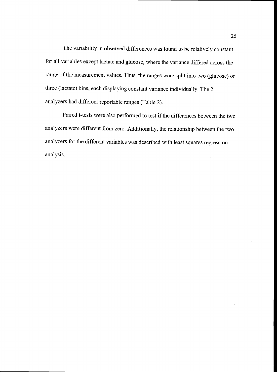The variability in observed differences was found to be relatively constant for all variables except lactate and glucose, where the variance differed across the range of the measurement values. Thus, the ranges were split into two (glucose) or three (lactate) bins, each displaying constant variance individually. The 2 analyzers had different reportable ranges (Table 2).

Paired t-tests were also performed to test if the differences between the two analyzers were different from zero. Additionally, the relationship between the two analyzers for the different variables was described with least squares regression analysis.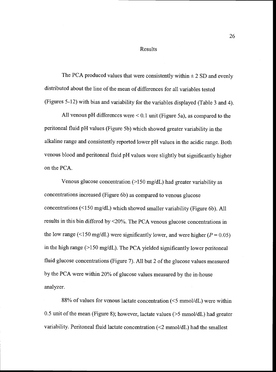Results

The PCA produced values that were consistently within  $\pm$  2 SD and evenly distributed about the line of the mean of differences for all variables tested (Figures 5-12) with bias and variability for the variables displayed (Table 3 and 4).

All venous pH differences were  $\leq 0.1$  unit (Figure 5a), as compared to the peritoneal fluid pH values (Figure Sb) which showed greater variability in the alkaline range and consistently reported lower pH values in the acidic range. Both venous blood and peritoneal fluid pH values were slightly but significantly higher on the PCA.

Venous glucose concentration (>150 mg/dL) had greater variability as concentrations increased (Figure 6b) as compared to venous glucose concentrations (<150 mg/dL) which showed smaller variability (Figure 6b). All results in this bin differed by <20%. The PCA venous glucose concentrations in the low range (<150 mg/dL) were significantly lower, and were higher ( $P = 0.05$ ) in the high range (>150 mg/dL). The PCA yielded significantly lower peritoneal fluid glucose concentrations (Figure 7). All but 2 of the glucose values measured by the PCA were within 20% of glucose values measured by the in-house analyzer.

88% of values for venous lactate concentration (<5 mmol/dL) were within 0.5 unit of the mean (Figure 8); however, lactate values ( $>5$  mmol/dL) had greater variability. Peritoneal fluid lactate concentration (<2 mmol/dL) had the smallest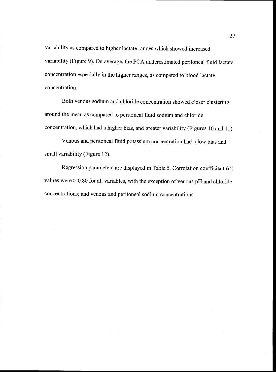variability as compared to higher lactate ranges which showed increased variability (Figure 9). On average, the PCA underestimated peritoneal fluid lactate concentration especially in the higher ranges, as compared to blood lactate concentration.

Both venous sodium and chloride concentration showed closer clustering around the mean as compared to peritoneal fluid sodium and chloride concentration, which had a higher bias, and greater variability (Figures 10 and 11).

Venous and peritoneal fluid potassium concentration had a low bias and small variability (Figure 12).

Regression parameters are displayed in Table 5. Correlation coefficient  $(r^2)$ values were  $> 0.80$  for all variables, with the exception of venous pH and chloride concentrations; and venous and peritoneal sodium concentrations.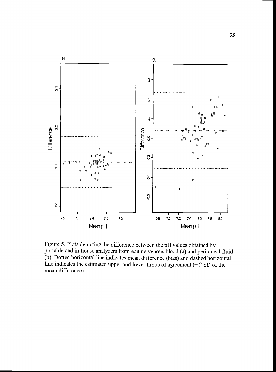

Figure 5: Plots depicting the difference between the pH values obtained by portable and in-house analyzers from equine venous blood (a) and peritoneal fluid (b). Dotted horizontal line indicates mean difference (bias) and dashed horizontal line indicates the estimated upper and lower limits of agreement  $(± 2 SD of the$ mean difference).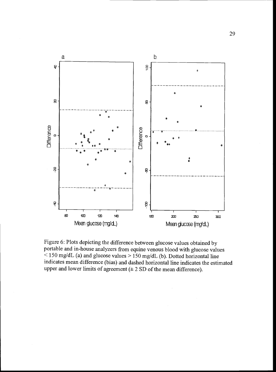

Figure 6: Plots depicting the difference between glucose values obtained by portable and in-house analyzers from equine venous blood with glucose values  $\sim$  150 mg/dL (a) and glucose values > 150 mg/dL (b). Dotted horizontal line indicates mean difference (bias) and dashed horizontal line indicates the estimated upper and lower limits of agreement  $(\pm 2 \text{ SD of the mean difference}).$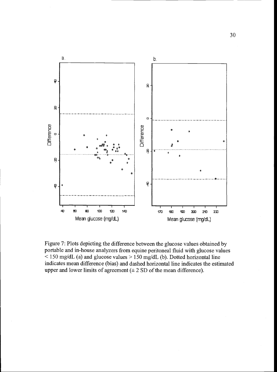

Figure 7: Plots depicting the difference between the glucose values obtained by portable and in-house analyzers from equine peritoneal fluid with glucose values  $\leq$  150 mg/dL (a) and glucose values  $>$  150 mg/dL (b). Dotted horizontal line indicates mean difference (bias) and dashed horizontal line indicates the estimated upper and lower limits of agreement  $(\pm 2 SD)$  of the mean difference).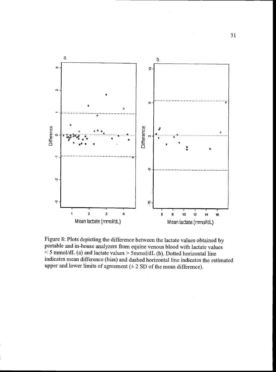

Figure 8: Plots depicting the difference between the lactate values obtained by portable and in-house analyzers from equine venous blood with lactate values  $\leq$  5 mmol/dL (a) and lactate values  $> 5$ mmol/dL (b). Dotted horizontal line indicates mean difference (bias) and dashed horizontal line indicates the estimated upper and lower limits of agreement  $(\pm 2$  SD of the mean difference).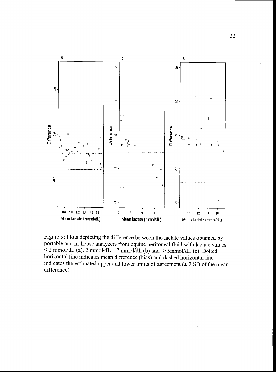

Figure 9: Plots depicting the difference between the lactate values obtained by portable and in-house analyzers from equine peritoneal fluid with lactate values  $\leq$  2 mmol/dL (a), 2 mmol/dL – 7 mmol/dL (b) and  $>$  5 mmol/dL (c). Dotted horizontal line indicates mean difference (bias) and dashed horizontal line indicates the estimated upper and lower limits of agreement  $(± 2 SD of the mean)$ difference).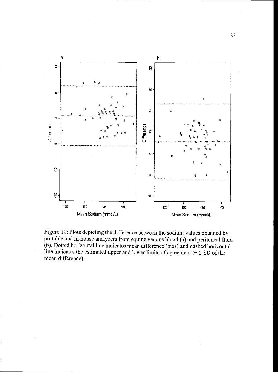

Figure 10: Plots depicting the difference between the sodium values obtained by portable and in-house analyzers from equine venous blood (a) and peritoneal fluid (b). Dotted horizontal line indicates mean difference (bias) and dashed horizontal line indicates the estimated upper and lower limits of agreement  $(± 2 SD of the$ mean difference).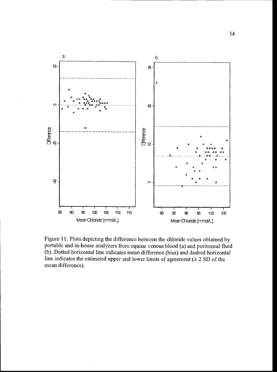

Figure 11: Plots depicting the difference between the chloride values obtained by portable and in-house analyzers from equine venous blood (a) and peritoneal fluid (b). Dotted horizontal line indicates mean difference (bias) and dashed horizontal line indicates the estimated upper and lower limits of agreement  $(± 2 SD of the$ mean difference).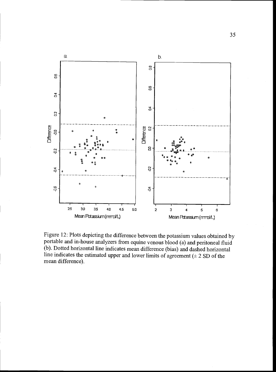

Figure 12: Plots depicting the difference between the potassium values obtained by portable and in-house analyzers from equine venous blood (a) and peritoneal fluid (b). Dotted horizontal line indicates mean difference (bias) and dashed horizontal line indicates the estimated upper and lower limits of agreement  $(± 2 SD of the$ mean difference).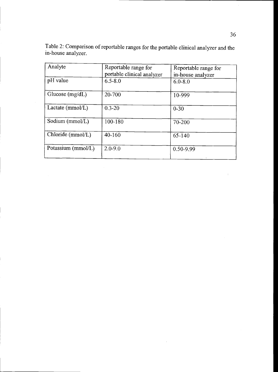| Analyte            | Reportable range for<br>portable clinical analyzer | Reportable range for<br>in-house analyzer |
|--------------------|----------------------------------------------------|-------------------------------------------|
| pH value           | $6.5 - 8.0$                                        | $6.0 - 8.0$                               |
| Glucose $(mg/dL)$  | 20-700                                             | 10-999                                    |
| Lactate $(mmol/L)$ | $0.3 - 20$                                         | $0 - 30$                                  |
| Sodium (mmol/L)    | 100-180                                            | 70-200                                    |
| Chloride (mmol/L)  | $40 - 160$                                         | $65 - 140$                                |
| Potassium (mmol/L) | $2.0 - 9.0$                                        | 0.50-9.99                                 |

 $\sim$ 

Table 2: Comparison of reportable ranges for the portable clinical analyzer and the in-house analyzer.

 $\hat{\mathcal{X}}$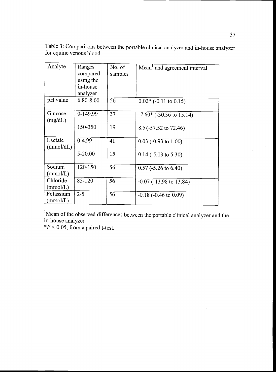Table 3: Comparisons between the portable clinical analyzer and in-house analyzer for equine venous blood.

| Analyte               | Ranges<br>compared<br>using the<br>in-house<br>analyzer | No. of<br>samples | Mean <sup>1</sup> and agreement interval |
|-----------------------|---------------------------------------------------------|-------------------|------------------------------------------|
| pH value              | 6.80-8.00                                               | 56                | $0.02*$ (-0.11 to 0.15)                  |
| Glucose<br>(mg/dL)    | 0-149.99                                                | 37                | $-7.60*$ ( $-30.36$ to 15.14)            |
|                       | 150-350                                                 | 19                | 8.5 (-57.52 to 72.46)                    |
| Lactate<br>(mmol/dL)  | $0 - 4.99$                                              | 41                | $0.03$ (-0.93 to 1.00)                   |
|                       | $5 - 20.00$                                             | 15                | $0.14$ (-5.03 to 5.30)                   |
| Sodium<br>(mmol/L)    | 120-150                                                 | 56                | $0.57$ (-5.26 to 6.40)                   |
| Chloride<br>(mmol/L)  | 85-120                                                  | 56                | $-0.07$ ( $-13.98$ to 13.84)             |
| Potassium<br>(mmol/L) | $2 - 5$                                                 | 56                | $-0.18$ ( $-0.46$ to 0.09)               |

'Mean of the observed differences between the portable clinical analyzer and the in-house analyzer

 $*P < 0.05$ , from a paired t-test.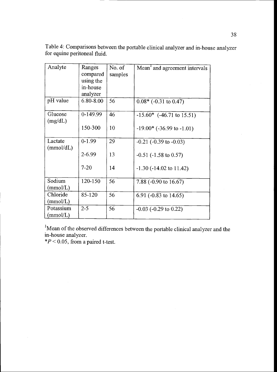Table 4: Comparisons between the portable clinical analyzer and in-house analyzer for equine peritoneal fluid.

| Analyte               | Ranges<br>compared<br>using the<br>in-house<br>analyzer | No. of<br>samples | Mean <sup>1</sup> and agreement intervals |
|-----------------------|---------------------------------------------------------|-------------------|-------------------------------------------|
| pH value              | 6.80-8.00                                               | 56                | $0.08*$ (-0.31 to 0.47)                   |
| Glucose<br>(mg/dL)    | $0-149.99$                                              | 46                | $-15.60*$ (-46.71 to 15.51)               |
|                       | 150-300                                                 | 10                | $-19.00*$ ( $-36.99$ to $-1.01$ )         |
| Lactate<br>(mmol/dL)  | $0-1.99$                                                | 29                | $-0.21$ ( $-0.39$ to $-0.03$ )            |
|                       | $2 - 6.99$                                              | 13                | $-0.51$ ( $-1.58$ to 0.57)                |
|                       | $7 - 20$                                                | 14                | $-1.30$ ( $-14.02$ to $11.42$ )           |
| Sodium<br>(mmol/L)    | 120-150                                                 | 56                | 7.88 $(-0.90 \text{ to } 16.67)$          |
| Chloride<br>(mmol/L)  | 85-120                                                  | 56                | 6.91 ( $-0.83$ to 14.65)                  |
| Potassium<br>(mmol/L) | $2 - 5$                                                 | 56                | $-0.03$ ( $-0.29$ to 0.22)                |

<sup>1</sup>Mean of the observed differences between the portable clinical analyzer and the in-house analyzer.

 $*P < 0.05$ , from a paired t-test.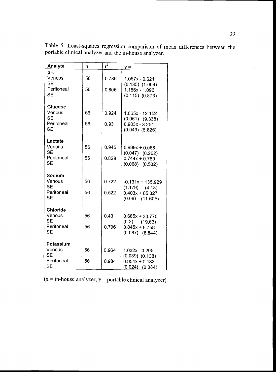| Analyte                                | n  | $r^2$ | $y =$                                                          |  |
|----------------------------------------|----|-------|----------------------------------------------------------------|--|
| pH<br>Venous<br><b>SE</b>              | 56 | 0.736 | 1.087x - 0.621<br>$(0.135)$ $(1.004)$                          |  |
| Peritoneal<br><b>SE</b>                | 56 | 0.806 | 1.156x - 1.096<br>$(0.115)$ $(0.873)$                          |  |
| Glucose<br>Venous<br><b>SE</b>         | 56 | 0.924 | $1.065x - 12.152$<br>$(0.061)$ $(9.338)$                       |  |
| Peritoneal<br>SE                       | 56 | 0.93  | $0.903x - 3.251$<br>$(0.049)$ $(6.825)$                        |  |
| Lactate<br>Venous<br><b>SE</b>         | 56 | 0.945 | $0.999x + 0.068$<br>$(0.047)$ $(0.262)$                        |  |
| Peritoneal<br><b>SE</b>                | 56 | 0.829 | $0.744x + 0.760$<br>$(0.068)$ $(0.532)$                        |  |
| Sodium<br>Venous                       | 56 | 0.722 | $-0.131x + 135.929$                                            |  |
| <b>SE</b><br>Peritoneal<br><b>SE</b>   | 56 | 0.522 | $(1.179)$ $(4.13)$<br>$0.403x + 85.327$<br>$(0.09)$ $(11.605)$ |  |
| <b>Chloride</b><br>Venous<br><b>SE</b> | 56 | 0.43  | $0.685x + 30.770$<br>$(0.2)$ $(19,63)$                         |  |
| Peritoneal<br><b>SE</b>                | 56 | 0.796 | $0.845x + 8.758$<br>$(0.087)$ $(8.844)$                        |  |
| Potassium                              |    |       |                                                                |  |
| Venous<br><b>SE</b>                    | 56 | 0.964 | $1.032x - 0.295$<br>$(0.039)$ $(0.138)$                        |  |
| Peritoneal<br><b>SE</b>                | 56 | 0.984 | $0.954x + 0.133$<br>$(0.024)$ $(0.084)$                        |  |

Table 5: Least-squares regression comparison of mean differences between the portable clinical analyzer and the in-house analyzer.

 $(x = in \text{-} house \text{ analyzer}, y = portable \text{ clinical analyzer})$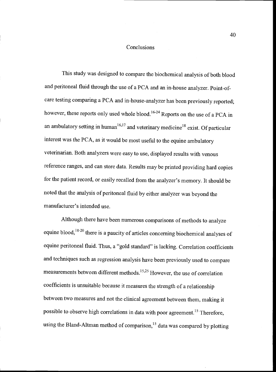### Conclusions

This study was designed to compare the biochemical analysis of both blood and peritoneal fluid through the use of a PCA and an in-house analyzer. Point-ofcare testing comparing a PCA and in-house-analyzer has been previously reported; however, these reports only used whole blood.<sup>16-24</sup> Reports on the use of a PCA in an ambulatory setting in human<sup>16,17</sup> and veterinary medicine<sup>18</sup> exist. Of particular interest was the PCA, as it would be most useful to the equine ambulatory veterinarian. Both analyzers were easy to use, displayed results with venous reference ranges, and can store data. Results may be printed providing hard copies for the patient record, or easily recalled from the analyzer's memory. It should be noted that the analysis of peritoneal fluid by either analyzer was beyond the manufacturer's intended use.

Although there have been numerous comparisons of methods to analyze equine blood,  $18-20$  there is a paucity of articles concerning biochemical analyses of equine peritoneal fluid. Thus, a "gold standard" is lacking. Correlation coefficients and techniques such as regression analysis have been previously used to compare measurements between different methods.<sup>15,25</sup> However, the use of correlation coefficients is unsuitable because it measures the strength of a relationship between two measures and not the clinical agreement between them, making it possible to observe high correlations in data with poor agreement.<sup>15</sup> Therefore, using the Bland-Altman method of comparison,<sup>15</sup> data was compared by plotting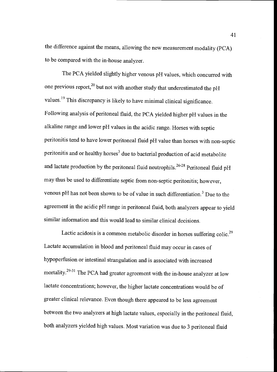the difference against the means, allowing the new measurement modality (PCA) to be compared with the in-house analyzer.

The PCA yielded slightly higher venous pH values, which concurred with one previous report,<sup>20</sup> but not with another study that underestimated the pH values.<sup>19</sup> This discrepancy is likely to have minimal clinical significance. Following analysis of peritoneal fluid, the PCA yielded higher pH values in the alkaline range and lower pH values in the acidic range. Horses with septic peritonitis tend to have lower peritoneal fluid pH value than horses with non-septic peritonitis and or healthy horses<sup>3</sup> due to bacterial production of acid metabolite and lactate production by the peritoneal fluid neutrophils.<sup>26-28</sup> Peritoneal fluid pH may thus be used to differentiate septic from non-septic peritonitis; however, venous pH has not been shown to be of value in such differentiation.<sup>3</sup> Due to the agreement in the acidic pH range in peritoneal fluid, both analyzers appear to yield similar information and this would lead to similar clinical decisions.

Lactic acidosis is a common metabolic disorder in horses suffering colic.<sup>29</sup> Lactate accumulation in blood and peritoneal fluid may occur in cases of hypoperfusion or intestinal strangulation and is associated with increased mortality.<sup>29-31</sup> The PCA had greater agreement with the in-house analyzer at low lactate concentrations; however, the higher lactate concentrations would be of greater clinical relevance. Even though there appeared to be less agreement between the two analyzers at high lactate values, especially in the peritoneal fluid, both analyzers yielded high values. Most variation was due to 3 peritoneal fluid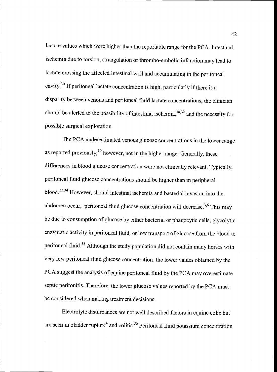lactate values which were higher than the reportable range for the PCA. Intestinal ischemia due to torsion, strangulation or thrombo-embolic infarction may lead to lactate crossing the affected intestinal wall and accumulating in the peritoneal cavity.30 If peritoneal lactate concentration is high, particularly if there is a disparity between venous and peritoneal fluid lactate concentrations, the clinician should be alerted to the possibility of intestinal ischemia,  $30,32$  and the necessity for possible surgical exploration.

The PCA underestimated venous glucose concentrations in the lower range as reported previously; $^{19}$  however, not in the higher range. Generally, these differences in blood glucose concentration were not clinically relevant. Typically, peritoneal fluid glucose concentrations should be higher than in peripheral blood.<sup>33,34</sup> However, should intestinal ischemia and bacterial invasion into the abdomen occur, peritoneal fluid glucose concentration will decrease.<sup>3,6</sup> This may be due to consumption of glucose by either bacterial or phagocytic cells, glycolytic enzymatic activity in peritoneal fluid, or low transport of glucose from the blood to peritoneal fluid.<sup>35</sup> Although the study population did not contain many horses with very low peritoneal fluid glucose concentration, the lower values obtained by the PCA suggest the analysis of equine peritoneal fluid by the PCA may overestimate septic peritonitis. Therefore, the lower glucose values reported by the PCA must be considered when making treatment decisions.

Electrolyte disturbances are not well described factors in equine colic but are seen in bladder rupture<sup>4</sup> and colitis.<sup>36</sup> Peritoneal fluid potassium concentration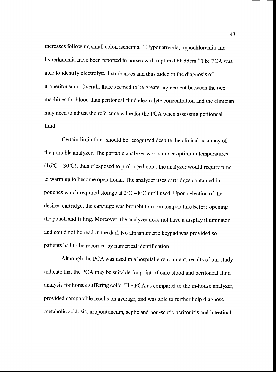increases following small colon ischemia.37 Hyponatremia, hypochioremia and hyperkalemia have been reported in horses with ruptured bladders.4 The PCA was able to identify electrolyte disturbances and thus aided in the diagnosis of uroperitoneum. Overall, there seemed to be greater agreement between the two machines for blood than peritoneal fluid electrolyte concentration and the clinician may need to adjust the reference value for the PCA when assessing peritoneal fluid.

Certain limitations should be recognized despite the clinical accuracy of the portable analyzer. The portable analyzer works under optimum temperatures  $(16^{\circ}C - 30^{\circ}C)$ , thus if exposed to prolonged cold, the analyzer would require time to warm up to become operational. The analyzer uses cartridges contained in pouches which required storage at  $2^{\circ}\text{C} - 8^{\circ}\text{C}$  until used. Upon selection of the desired cartridge, the cartridge was brought to room temperature before opening the pouch and filling. Moreover, the analyzer does not have a display illuminator and could not be read in the dark No alphanumeric keypadwas provided so patients had to be recorded by numerical identification.

Although the PCA was used in a hospital environment, results of our study indicate that the PCA may be suitable for point-of-care blood and peritoneal fluid analysis for horses suffering colic. The PCA as compared to the in-house analyzer, provided comparable results on average, and was able to further help diagnose metabolic acidosis, uroperitoneum, septic and non-septic peritonitis and intestinal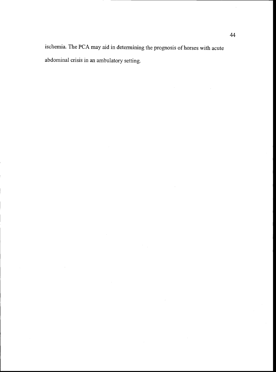ischemia. The PCA may aid in determining the prognosis of horses with acute abdominal crisis in an ambulatory setting.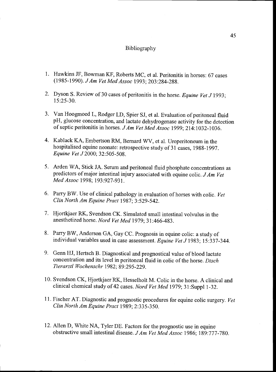#### Bibliography

- 1. Hawkins JF, Bowman KF, Roberts MC, et al. Peritonitis in horses: 67 cases (1985-1990). JAm Vet Med Assoc 1993; 203:284-288.
- 2. Dyson S. Review of 30 cases of peritonitis in the horse. Equine Vet J 1993; 15:25-30.
- 3. Van Hoogmoed L, Rodger LD, Spier SJ, et al. Evaluation of peritoneal fluid pH, glucose concentration, and lactate dehydrogenase activity for the detection of septic peritonitis in horses. JAm Vet Med Assoc 1999; 214:1032-1036.
- 4. Kablack KA, Embertson RM, Bernard WV, et al. Uroperitoneum in the hospitalised equine neonate: retrospective study of 31 cases, 1988-1997. Equine Vet J2000; 32:505-508.
- 5. Arden WA, Stick JA. Serum and peritoneal fluid phosphate concentrations as predictors of major intestinal injury associated with equine colic. JAm Vet Med Assoc 1998; 193:927-931.
- 6. Parry BW. Use of clinical pathology in evaluation of horses with colic. Vet Clin North Am Equine Pract 1987; 3:529-542.
- 7. Hjortkjaer RK, Svendson CK. Simulated small intestinal volvulus in the anesthetized horse. Nord Vet Med 1979; 31:466-483.
- 8. Parry BW, Anderson GA, Gay CC. Prognosis in equine colic: a study of individual variables used in case assessment. Equine Vet J 1983; 15:337-344.
- 9. Genn HJ, Hertsch B. Diagnostical and prognostical value of blood lactate concentration and its level in peritoneal fluid in colic of the horse. Dtsch Tierarztl Wochenschr 1982; 89:295-229.
- 10. Svendson CK, Hjortkjaer RK, Hesselholt M. Colic in the horse. A clinical and clinical chemical study of 42 cases. Nord Vet Med 1979; 31:Suppl 1-32.
- 11. Fischer AT. Diagnostic and prognostic procedures for equine colic surgery. Vet Clin North Am Equine Pract 1989; 2:335-350.
- 12. Allen D, White NA, Tyler DE. Factors for the prognostic use in equine obstructive small intestinal disease. J Am Vet Med Assoc 1986; 189:777-780.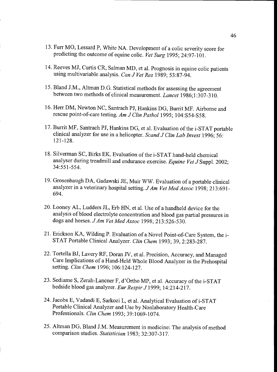- 13. Furr MO, Lessard P, White NA. Development of a colic severity score for predicting the outcome of equine colic. Vet Surg 1995; 24:97-101.
- 14. Reeves MJ, Curtis CR, Salman MD, et al. Prognosis in equine colic patients using multivariable analysis. Can J Vet Res 1989; 53:87-94.
- 15. Bland J.M., Altman D.G. Statistical methods for assessing the agreement between two methods of clinical measurement. Lancet 1986;1:307-310.
- 16. Hen DM, Newton NC, Santrach PJ, Hankins DG, Burnt MF. Airborne and rescue point-of-care testing. Am J Clin Pathol 1995; 104:S54-S58.
- 17. Burrit MF, Santrach PJ, Hankins DG, et al. Evaluation of the i-STAT portable clinical analyzer for use in a helicopter. Scand J Clin Lab Invest 1996; 56: 12 1-128.
- 18. Silverman SC, Birks EK. Evaluation of the i-STAT hand-held chemical analyser during treadmill and endurance exercise. Equine Vet J Suppl. 2002; 34:551-554.
- 19. Grosenbaugh DA, Gadawski JE, Muir WW. Evaluation of a portable clinical analyzer in a veterinary hospital setting. J Am Vet Med Assoc 1998; 213:691-694.
- 20. Looney AL, Ludders JL, Erb HN, et al. Use of a handheld device for the analysis of blood electrolyte concentration and blood gas partial pressures in dogs and horses. J Am Vet Med Assoc 1998; 213:526-530.
- 21. Erickson KA, Wilding P. Evaluation of a Novel Point-of-Care System, the i-STAT Portable Clinical Analyzer. Clin Chem 1993; 39, 2:283-287.
- 22. Tortella BJ, Lavery RF, Doran JV, et al. Precision, Accuracy, and Managed Care Implications of a Hand-Held Whole Blood Analyzer in the Prehospital setting. Clin Chem 1996; 106:124-127.
- 23. Sediame 5, Zerah-Lancner F, d'Ortho MP, et al. Accuracy of the i-STAT bedside blood gas analyzer. Eur Respir J 1999; 14:214-217.
- 24. Jacobs E, Vadasdi E, Sarkozi L, et al. Analytical Evaluation of i-STAT Portable Clinical Analyzer and Use by Nonlaboratory Health-Care Professionals. C/in Chem 1993; 39:1069-1074.
- 25. Altman DG, Bland J.M. Measurement in medicine: The analysis of method comparison studies. Statistician 1983; 32:307-317.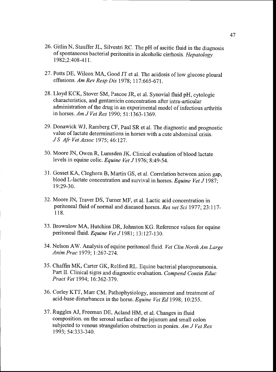- 26. Gitlin N, Stauffer JL, Silvestri RC. The pH of ascitic fluid in the diagnosis of spontaneous bacterial peritonitis in alcoholic cirrhosis. Hepatology 1982;2:408-41 1.
- 27. Potts DE, Wilcox MA, Good JT et al. The acidosis of low glucose pleural effusions. Am Rev Resp Dis 1978; 117:665-671.
- 28. Lloyd KCK, Stover SM, Pascoe JR, et al. Synovial fluid pH, cytologic characteristics, and gentamicin concentration after intra-articular administration of the drug in an experimental model of infectious arthritis in horses. Am J Vet Res 1990; 51:1363-1369.
- 29. Donawick WJ, Ramberg CF, Paul SR et al. The diagnostic and prognostic value of lactate determinations in horses with a cute abdominal crisis. JS Afr Vet Assoc 1975; 46:127.
- 30. Moore IN, Owen R, Lumsden 1K. Clinical evaluation of blood lactate levels in equine colic. Equine Vet J 1976; 8:49-54.
- 31. Gosset KA, Cleghorn B, Martin GS, et al. Correlation between anion gap, blood L-lactate concentration and survival in horses. Equine Vet J 1987; 19:29-30.
- 32. Moore IN, Traver DS, Turner MF, et al. Lactic acid concentration in peritoneal fluid of normal and diseased horses. Res vet Sci 1977; 23:117- 118.
- 33. Brownlow MA, Hutchins DR, Johnston KG. Reference values for equine peritoneal fluid. Equine Vet J 1981; 13:127-130.
- 34. Nelson AW. Analysis of equine peritoneal fluid. Vet Clin North Am Large Anim Prac 1979; 1:267-274.
- 35. Chaffin MK, Carter GK, Relford RL. Equine bacterial pluropneumonia. Part II. Clinical signs and diagnostic evaluation. Compend Contin Educ Pract Vet 1994; 16:362-379.
- 36. Corley KTT, Marr CM. Pathophysiology, assessment and treatment of acid-base disturbances in the horse. Equine Vet Ed 1998; 10:255.
- 37. Ruggles AJ, Freeman DE, Acland HM, et al. Changes in fluid composition. on the serosal surface of the jejunum and small colon subjected to venous strangulation obstruction in ponies. Am J Vet Res 1993; 54:333-340.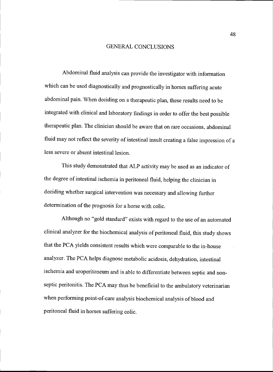#### GENERAL CONCLUSIONS

Abdominal fluid analysis can provide the investigator with information which can be used diagnostically and prognostically in horses suffering acute abdominal pain. When deciding on a therapeutic plan, these results need to be integrated with clinical and laboratory findings in order to offer the best possible therapeutic plan. The clinician should be aware that on rare occasions, abdominal fluid may not reflect the severity of intestinal insult creating a false impression of a less severe or absent intestinal lesion.

This study demonstrated that ALP activity may be used as an indicator of the degree of intestinal ischemia in peritoneal fluid, helping the clinician in deciding whether surgical intervention was necessary and allowing further determination of the prognosis for a horse with colic.

Although no "gold standard" exists with regard to the use of an automated clinical analyzer for the biochemical analysis of peritoneal fluid, this study shows that the PCA yields consistent results which were comparable to the in-house analyzer. The PCA helps diagnose metabolic acidosis, dehydration, intestinal ischemia and uroperitoneum and is able to differentiate between septic and nonseptic peritonitis. The PCA may thus be beneficial to the ambulatory veterinarian when performing point-of-care analysis biochemical analysis of blood and peritoneal fluid in horses suffering colic.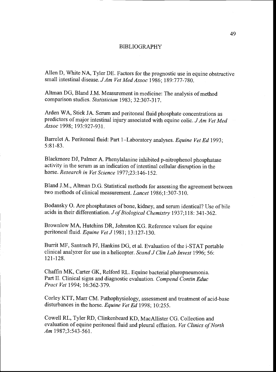#### BIBLIOGRAPHY

Allen D, White NA, Tyler DE. Factors for the prognostic use in equine obstructive small intestinal disease. J Am Vet Med Assoc 1986; 189:777-780.

Altman DG, Bland J.M. Measurement in medicine: The analysis of method comparison studies. Statistician 1983; 32:307-317.

Arden WA, Stick JA. Serum and peritoneal fluid phosphate concentrations as predictors of major intestinal injury associated with equine colic. J Am Vet Med Assoc 1998; 193:927-931.

Barrelet A. Peritoneal fluid: Part 1-Laboratory analyses. Equine Vet Ed 1993; 5:81-83.

Blackmore DJ, Palmer A. Phenylalanine inhibited p-nitrophenol phosphatase activity in the serum as an indication of intestinal cellular disruption in the horse. Research in Vet Science 1977;23:146-152.

Bland J.M., Altman D.G. Statistical methods for assessing the agreement between two methods of clinical measurement. Lancet 1986;1:307-310.

Bodansky 0. Are phosphatases of bone, kidney, and serum identical? Use of bile acids in their differentiation. Jof Biological Chemistry 1937;1 18: 341-362.

Browniow MA, Hutchins DR, Johnston KG. Reference values for equine peritoneal fluid. Equine Vet J 1981; 13:127-130.

Burrit MF, Santrach PJ, Hankins DG, et al. Evaluation of the i-STAT portable clinical analyzer for use in a helicopter. Scand J Clin Lab Invest 1996; 56: 121-128.

Chaffin MK, Carter GK, Relford RL. Equine bacterial pluropneumonia. Part II. Clinical signs and diagnostic evaluation. Compend Contin Educ Pract Vet 1994; 16:362-379.

Corley KTT, Marr CM. Pathophysiology, assessment and treatment of acid-base disturbances in the horse. Equine Vet Ed 1998; 10:255.

Cowell RL, Tyler RD, Clinkenbeard KD, MacAllister CG. Collection and evaluation of equine peritoneal fluid and pleural effusion. Vet Clinics of North Am 1987;3:543-561.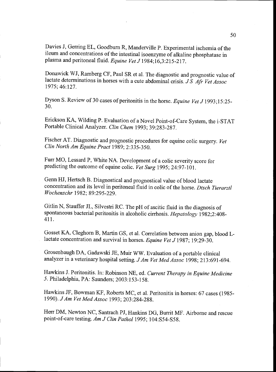Davies J, Gerring EL, Goodburn R, Manderville P. Experimental ischemia of the ileum and concentrations of the intestinal isoenzyme of alkaline phosphatase in plasma and peritoneal fluid. Equine Vet J 1984;16,3:215-217.

Donawick WJ, Ramberg CF, Paul SR et al. The diagnostic and prognostic value of lactate determinations in horses with a cute abdominal crisis. JS Afr Vet Assoc 1975; 46:127.

Dyson S. Review of 30 cases of peritonitis in the horse. Equine Vet J 1993;15:25-30.

Erickson KA, Wilding P. Evaluation of a Novel Point-of-Care System, the i-STAT Portable Clinical Analyzer. Clin Chem 1993; 39:283-287.

Fischer AT. Diagnostic and prognostic procedures for equine colic surgery. Vet Clin North Am Equine Pract 1989; 2:335-350.

Furr MO, Lessard P, White NA. Development of a colic severity score for predicting the outcome of equine colic. Vet Surg 1995; 24:97-101.

Genn HJ, Hertsch B. Diagnostical and prognostical value of blood lactate concentration and its level in peritoneal fluid in colic of the horse. Dtsch Tierarztl Wochenschr 1982; 89:295-229.

Gitlin N, Stauffer JL, Silvestri RC. The pH of ascitic fluid in the diagnosis of spontaneous bacterial peritonitis in alcoholic cirrhosis. Hepatology 1982;2:408-411.

Gosset KA, Cleghorn B, Martin GS, et al. Correlation between anion gap, blood Llactate concentration and survival in horses. Equine Vet J 1987; 19:29-30.

Grosenbaugh DA, Gadawski JE, Muir WW. Evaluation of a portable clinical analyzer in a veterinary hospital setting. J Am Vet Med Assoc 1998; 213:691-694.

Hawkins J. Peritonitis. In: Robinson NE, ed. Current Therapy in Equine Medicine 5. Philadelphia, PA: Saunders; 2003:153-158.

Hawkins JF, Bowman KF, Roberts MC, et al. Peritonitis in horses: 67 cases (1985- 1990), JAm Vet Med Assoc 1993; 203 :284-288.

Herr DM, Newton NC, Santrach PJ, Hankins DG, Burrit MF. Airborne and rescue point-of-care testing. Am J Clin Pathol 1995; 104:S54-S58.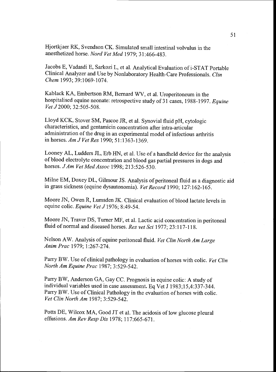Hjortkjaer RK, Svendson CK. Simulated small intestinal volvulus in the anesthetized horse. Nord Vet Med 1979; 31:466-483.

Jacobs E, Vadasdi E, Sarkozi L, et al. Analytical Evaluation of i-STAT Portable Clinical Analyzer and Use by Nonlaboratory Health-Care Professionals. Clin Chem 1993; 39:1069-1074.

Kablack KA, Embertson RM, Bernard WV, et al. Uroperitoneum in the hospitalised equine neonate: retrospective study of 31 cases, 1988-1997. Equine Vet J 2000; 32:505-508.

Lloyd KCK, Stover SM, Pascoe JR, et al. Synovial fluid pH, cytologic characteristics, and gentamicin concentration after intra-articular administration of the drug in an experimental model of infectious arthritis in horses. Am J Vet Res 1990; 51:1363-1369.

Looney AL, Ludders JL, Erb HN, et al. Use of a handheld device for the analysis of blood electrolyte concentration and blood gas partial pressures in dogs and horses. *J Am Vet Med Assoc* 1998; 213:526-530.

Mime EM, Doxey DL, Gilmour JS. Analysis of peritoneal fluid as a diagnostic aid in grass sickness (equine dysautonomia). Vet Record 1990; 127:162-165.

Moore JN, Owen R, Lumsden JK. Clinical evaluation of blood lactate levels in equine colic. Equine Vet J 1976; 8:49-54.

Moore JN, Traver DS, Turner MF, et al. Lactic acid concentration in peritoneal fluid of normal and diseased horses. Res vet Sci 1977; 23:117-118.

Nelson AW. Analysis of equine peritoneal fluid. Vet Clin North Am Large Anim Prac 1979; 1:267-274.

Parry BW. Use of clinical pathology in evaluation of horses with colic. Vet Clin North Am Equine Prac 1987; 3:529-542.

Parry BW, Anderson GA, Gay CC. Prognosis in equine colic: A study of individual variables used in case assessment. Eq Vet J 1983;15,4:337-344. Parry BW. Use of Clinical Pathology in the evaluation of horses with colic. Vet Clin North Am 1987; 3:529-542.

Potts DE, Wilcox MA, Good JT et al. The acidosis of low glucose pleural effusions. Am Rev Resp Dis 1978; 117:665-671.